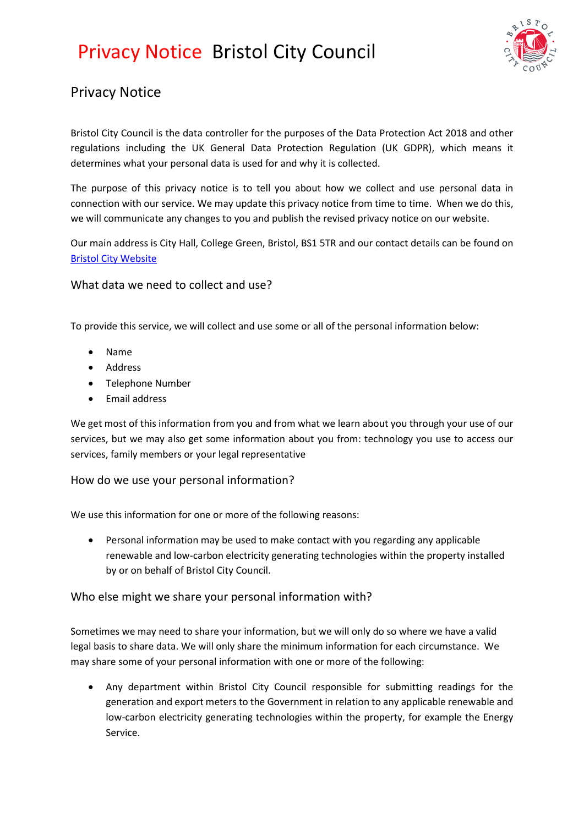## Privacy Notice Bristol City Council



## Privacy Notice

Bristol City Council is the data controller for the purposes of the Data Protection Act 2018 and other regulations including the UK General Data Protection Regulation (UK GDPR), which means it determines what your personal data is used for and why it is collected.

The purpose of this privacy notice is to tell you about how we collect and use personal data in connection with our service. We may update this privacy notice from time to time. When we do this, we will communicate any changes to you and publish the revised privacy notice on our website.

Our main address is City Hall, College Green, Bristol, BS1 5TR and our contact details can be found on [Bristol City Website](https://www.bristol.gov.uk/contact)

### What data we need to collect and use?

To provide this service, we will collect and use some or all of the personal information below:

- Name
- Address
- Telephone Number
- Email address

We get most of this information from you and from what we learn about you through your use of our services, but we may also get some information about you from: technology you use to access our services, family members or your legal representative

#### How do we use your personal information?

We use this information for one or more of the following reasons:

• Personal information may be used to make contact with you regarding any applicable renewable and low-carbon electricity generating technologies within the property installed by or on behalf of Bristol City Council.

#### Who else might we share your personal information with?

Sometimes we may need to share your information, but we will only do so where we have a valid legal basis to share data. We will only share the minimum information for each circumstance. We may share some of your personal information with one or more of the following:

• Any department within Bristol City Council responsible for submitting readings for the generation and export meters to the Government in relation to any applicable renewable and low-carbon electricity generating technologies within the property, for example the Energy Service.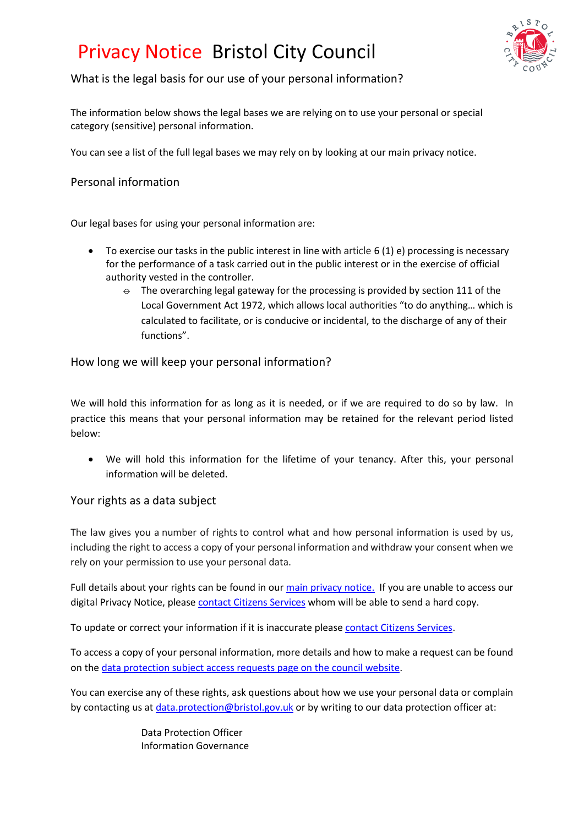## Privacy Notice Bristol City Council



## What is the legal basis for our use of your personal information?

The information below shows the legal bases we are relying on to use your personal or special category (sensitive) personal information.

You can see a list of the full legal bases we may rely on by looking at our [main privacy notice.](https://www.bristol.gov.uk/about-our-website/privacy)

### Personal information

Our legal bases for using your personal information are:

- To exercise our tasks in the public interest in line with article 6 (1) e) processing is necessary for the performance of a task carried out in the public interest or in the exercise of official authority vested in the controller.
	- $\Theta$  The overarching legal gateway for the processing is provided by section 111 of the Local Government Act 1972, which allows local authorities "to do anything… which is calculated to facilitate, or is conducive or incidental, to the discharge of any of their functions".

### How long we will keep your personal information?

We will hold this information for as long as it is needed, or if we are required to do so by law. In practice this means that your personal information may be retained for the relevant period listed below:

We will hold this information for the lifetime of your tenancy. After this, your personal information will be deleted.

### Your rights as a data subject

The law gives you a number of rights to control what and how personal information is used by us, including the right to access a copy of your personal information and withdraw your consent when we rely on your permission to use your personal data.

Full details about your rights can be found in ou[r main privacy notice.](https://www.bristol.gov.uk/about-our-website/privacy) If you are unable to access our digital Privacy Notice, please [contact Citizens Services](https://www.bristol.gov.uk/contact) whom will be able to send a hard copy.

To update or correct your information if it is inaccurate please [contact Citizens Services.](https://www.bristol.gov.uk/contact)

To access a copy of your personal information, more details and how to make a request can be found on th[e data protection subject access requests page on the council website.](https://www.bristol.gov.uk/data-protection-foi/data-protection-subject-access-requests)

You can exercise any of these rights, ask questions about how we use your personal data or complain by contacting us at [data.protection@bristol.gov.uk](mailto:data.protection@bristol.gov.uk) or by writing to our data protection officer at:

> Data Protection Officer Information Governance